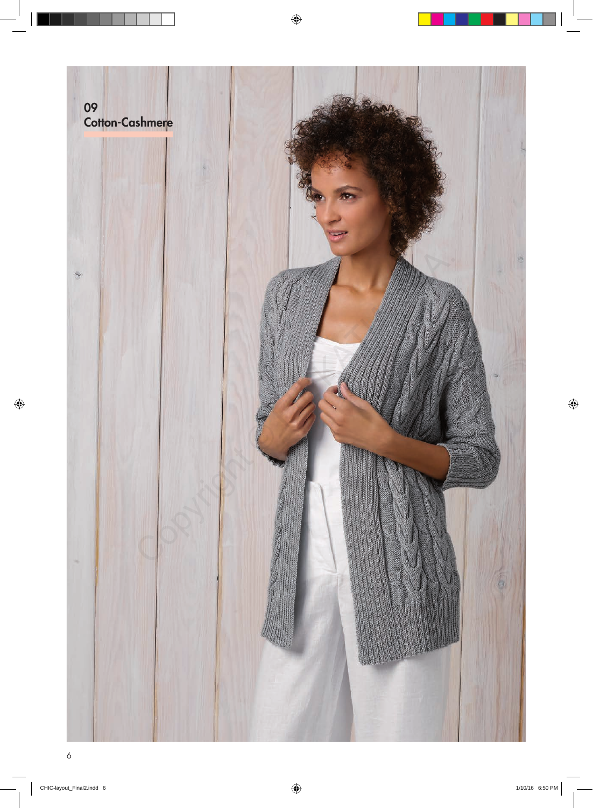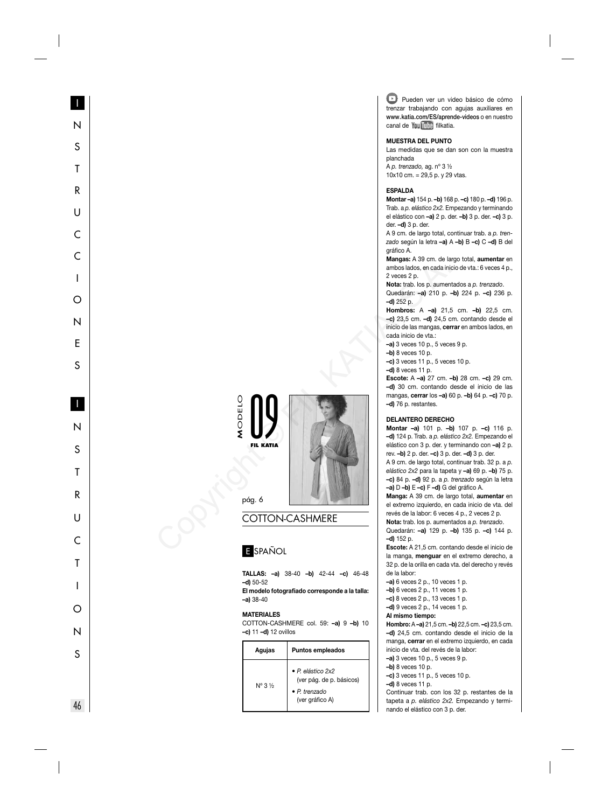#### **MUESTRA DEL PUNTO**

Las medidas que se dan son con la muestra planchada A p. trenzado, ag. nº 3 ½

10x10 cm. = 29,5 p. y 29 vtas.

#### **ESPALDA**

**Montar –a)** 154 p. **–b)** 168 p. **–c)** 180 p. **–d)** 196 p. Trab. a p. elástico 2x2. Empezando y terminando el elástico con **–a)** 2 p. der. **–b)** 3 p. der. **–c)** 3 p. der. **–d)** 3 p. der.

A 9 cm. de largo total, continuar trab. a p. trenzado según la letra **–a)** A **–b)** B **–c)** C **–d)** B del gráfico A.

**Mangas:** A 39 cm. de largo total, **aumentar** en ambos lados, en cada inicio de vta.: 6 veces 4 p., 2 veces 2 p.

**Nota:** trab. los p. aumentados a p. trenzado . Quedarán: **–a)** 210 p. **–b)** 224 p. **–c)** 236 p. **–d)** 252 p.

**Hombros:** A **–a)** 21,5 cm. **–b)** 22,5 cm. **–c)** 23,5 cm. **–d)** 24,5 cm. contando desde el inicio de las mangas, **cerrar** en ambos lados, en cada inicio de vta.:

**–a)** 3 veces 10 p., 5 veces 9 p.

**–b)** 8 veces 10 p.

**–c)** 3 veces 11 p., 5 veces 10 p.

**–d)** 8 veces 11 p.

**Escote:** A **–a)** 27 cm. **–b)** 28 cm. **–c)** 29 cm. **–d)** 30 cm. contando desde el inicio de las mangas, **cerrar** los **–a)** 60 p. **–b)** 64 p. **–c)** 70 p. **–d)** 76 p. restantes.

#### **DELANTERO DERECHO**

**Montar –a)** 101 p. **–b)** 107 p. **–c)** 116 p. **–d)** 124 p. Trab. a p. elástico 2x2. Empezando el elástico con 3 p. der. y terminando con **–a)** 2 p. rev. **–b)** 2 p. der. **–c)** 3 p. der. **–d)** 3 p. der. A 9 cm. de largo total, continuar trab. 32 p. a p. elástico 2x2 para la tapeta y **–a)** 69 p. **–b)** 75 p. **–c)** 84 p. **–d)** 92 p. a p. trenzado según la letra **-a)**  $D - b$ **)**  $E - c$ **)**  $F - d$ **)**  $G$  del gráfico A.

**Manga:** A 39 cm. de largo total, **aumentar** en el extremo izquierdo, en cada inicio de vta. del revés de la labor: 6 veces 4 p., 2 veces 2 p.

**Nota:** trab. los p. aumentados a p. trenzado . Quedarán: **–a)** 129 p. **–b)** 135 p. **–c)** 144 p. **–d)** 152 p.

**Escote:** A 21,5 cm. contando desde el inicio de la manga, **menguar** en el extremo derecho, a 32 p. de la orilla en cada vta. del derecho y revés de la labor:

- **–a)** 6 veces 2 p., 10 veces 1 p.
- **–b)** 6 veces 2 p., 11 veces 1 p.
- **–c)** 8 veces 2 p., 13 veces 1 p.
- **–d)** 9 veces 2 p., 14 veces 1 p.

# **Al mismo tiempo:**

**Hombro:** A **–a)** 21,5 cm. **–b)** 22,5 cm. **–c)** 23,5 cm. **–d)** 24,5 cm. contando desde el inicio de la manga, **cerrar** en el extremo izquierdo, en cada inicio de vta. del revés de la labor:

**–a)** 3 veces 10 p., 5 veces 9 p.

- **–b)** 8 veces 10 p.
- **–c)** 3 veces 11 p., 5 veces 10 p.
- **–d)** 8 veces 11 p.

Continuar trab. con los 32 p. restantes de la tapeta a p. elástico 2x2. Empezando y terminando el elástico con 3 p. der.

# MODELO 09 **FIL KATIA**



pág. 6

# COTTON-CASHMERE

# E SPAÑOL

**TALLAS: –a)** 38-40 **–b)** 42-44 **–c)** 46-48 **–d)** 50-52

El modelo fotografiado corresponde a la talla: **–a)** 38-40

#### **MATERIALES**

COTTON-CASHMERE col. 59: **–a)** 9 **–b)** 10 **–c)** 11 **–d)** 12 ovillos

| Agujas                      | <b>Puntos empleados</b>                                                                  |
|-----------------------------|------------------------------------------------------------------------------------------|
| $N^{\circ}$ 3 $\frac{1}{2}$ | • P. elástico 2x2<br>(ver pág. de p. básicos)<br>$\bullet$ P trenzado<br>(ver gráfico A) |

S

T

R

 $\mathsf{U}$ 

 $\subset$ 

 $\mathbf{I}$ 

∩

N

E

 $\mathcal{S}$ 

N

S

Τ

 $\mathsf{R}$ 

 $\cup$ 

 $\subset$ 

Τ

 $\mathbf{I}$ 

∩

N

S

INSTRUCCIONESINSTRUCTIONS 46 46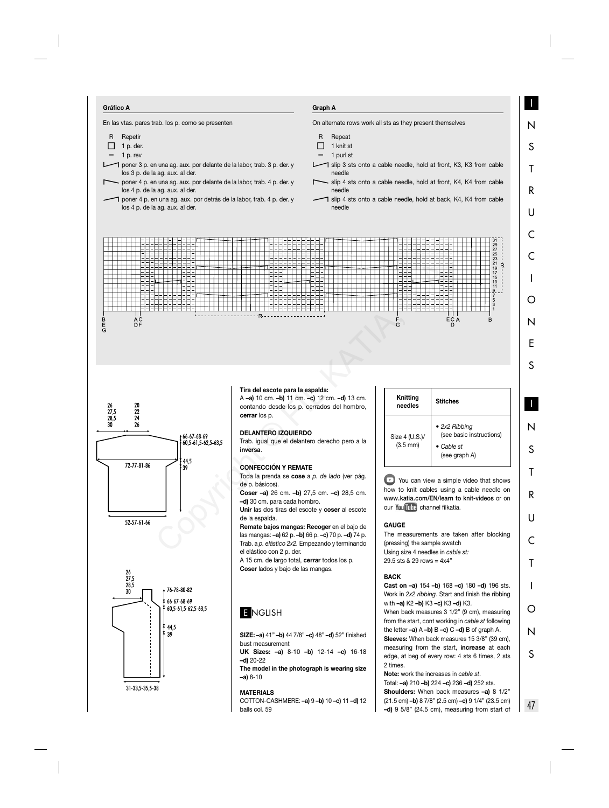#### **Gráfico A**

En las vtas. pares trab. los p. como se presenten

- R Repetir  $\Box$  1 p. der. 1 p. rev poner 3 p. en una ag. aux. por delante de la labor, trab. 3 p. der. y los 3 p. de la ag. aux. al der. - poner 4 p. en una ag. aux. por delante de la labor, trab. 4 p. der. y los 4 p. de la ag. aux. al der.
	- poner 4 p. en una ag. aux. por detrás de la labor, trab. 4 p. der. y los 4 p. de la ag. aux. al der.

## **Graph A**

On alternate rows work all sts as they present themselves

- R Repeat
- $\Box$  1 knit st
- 1 purl st
- $\bigcap$  slip 3 sts onto a cable needle, hold at front, K3, K3 from cable needle
- slip 4 sts onto a cable needle, hold at front, K4, K4 from cable needle
- $\bigcap$  slip 4 sts onto a cable needle, hold at back, K4, K4 from cable needle









### **Tira del escote para la espalda:**

A **–a)** 10 cm. **–b)** 11 cm. **–c)** 12 cm. **–d)** 13 cm. contando desde los p. cerrados del hombro, **cerrar** los p.

#### **DELANTERO IZQUIERDO**

Trab. igual que el delantero derecho pero a la **inversa**.

#### **CONFECCIÓN Y REMATE**

Toda la prenda se **cose** a p. de lado (ver pág. de p. básicos).

**Coser –a)** 26 cm. **–b)** 27,5 cm. **–c)** 28,5 cm. **–d)** 30 cm. para cada hombro.

**Unir** las dos tiras del escote y **coser** al escote de la espalda.

**Remate bajos mangas: Recoger** en el bajo de las mangas: **–a)** 62 p. **–b)** 66 p. **–c)** 70 p. **–d)** 74 p. Trab. a p. elástico 2x2. Empezando y terminando el elástico con 2 p. der.

A 15 cm. de largo total, **cerrar** todos los p. **Coser** lados y bajo de las mangas.

# E NGLISH

**SIZE: –a)** 41" **–b)** 44 7/8" **–c)** 48" **–d)** 52" fi nished bust measurement

**UK Sizes: –a)** 8-10 **–b)** 12-14 **–c)** 16-18 **–d)** 20-22

**The model in the photograph is wearing size –a)** 8-10

### **MATERIALS**

COTTON-CASHMERE: **–a)** 9 **–b)** 10 **–c)** 11 **–d)** 12 balls col. 59



**E** You can view a simple video that shows how to knit cables using a cable needle on **www . katia . com/EN/learn to knit-videos** or on our You Tube channel filkatia.

### **GAUGE**

The measurements are taken after blocking (pressing) the sample swatch Using size 4 needles in cable st: 29.5 sts & 29 rows = 4x4"

## **BACK**

**Cast on –a)** 154 **–b)** 168 **–c)** 180 **–d)** 196 sts. Work in 2x2 ribbing. Start and finish the ribbing with **–a)** K2 **–b)** K3 **–c)** K3 **–d)** K3. When back measures 3 1/2" (9 cm), measuring from the start, cont working in cable st following the letter **–a)** A **–b)** B **–c)** C **–d)** B of graph A. **Sleeves:** When back measures 15 3/8" (39 cm), measuring from the start, **increase** at each edge, at beg of every row: 4 sts 6 times, 2 sts 2 times.

**Note:** work the increases in cable st. Total: **–a)** 210 **–b)** 224 **–c)** 236 **–d)** 252 sts. **Shoulders:** When back measures **–a)** 8 1/2" (21.5 cm) **–b)** 8 7/8" (2.5 cm) **–c)** 9 1/4" (23.5 cm) **–d)** 9 5/8" (24.5 cm), measuring from start of

47